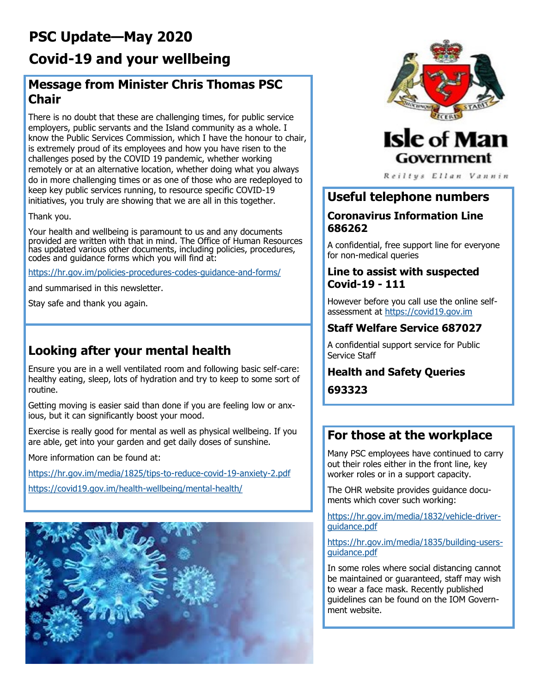# **PSC Update—May 2020**

# **Covid-19 and your wellbeing**

## **Message from Minister Chris Thomas PSC Chair**

There is no doubt that these are challenging times, for public service employers, public servants and the Island community as a whole. I know the Public Services Commission, which I have the honour to chair, is extremely proud of its employees and how you have risen to the challenges posed by the COVID 19 pandemic, whether working remotely or at an alternative location, whether doing what you always do in more challenging times or as one of those who are redeployed to keep key public services running, to resource specific COVID-19 initiatives, you truly are showing that we are all in this together.

Thank you.

Your health and wellbeing is paramount to us and any documents provided are written with that in mind. The Office of Human Resources has updated various other documents, including policies, procedures, codes and guidance forms which you will find at:

[https://hr.gov.im/policies](https://hr.gov.im/policies-procedures-codes-guidance-and-forms/)-procedures-codes-guidance-and-forms/

and summarised in this newsletter.

Stay safe and thank you again.

## **Looking after your mental health**

Ensure you are in a well ventilated room and following basic self-care: healthy eating, sleep, lots of hydration and try to keep to some sort of routine.

Getting moving is easier said than done if you are feeling low or anxious, but it can significantly boost your mood.

Exercise is really good for mental as well as physical wellbeing. If you are able, get into your garden and get daily doses of sunshine.

More information can be found at:

[https://hr.gov.im/media/1825/tips](https://hr.gov.im/media/1825/tips-to-reduce-covid-19-anxiety-2.pdf)-to-reduce-covid-19-anxiety-2.pdf

[https://covid19.gov.im/health](https://covid19.gov.im/health-wellbeing/mental-health/)-wellbeing/mental-health/





# **Isle of Man** Government

Reiltys Ellan Vannin

#### **USEFUL TELPHONE NUMBERS Useful telephone numbers**

#### **Coronavirus Information Line 686262 Coronavirus Information Line 686262**

**A confidential, free support line for non-medical queries** for non-medical queries A confidential, free support line for everyone

#### **Line to assist with suspected pected Covid-19. Before you call, Covid-19 - 111 use the online self-assessment at**

**https://covid19.gov.im** assessment at [https://covid19.gov.im](https://covid19.gov.im/) However before you call use the online self-

#### **Staff Welfare Service 687027 Staff Welfare Service 687027**

**A confidential support service for**  A confidential support service for Public Service Staff

#### **Public Search Health and Safety Queries**

**693323**

#### **For those at the workplace**

Many PSC employees have continued to carry out their roles either in the front line, key worker roles or in a support capacity.

The OHR website provides guidance documents which cover such working:

[https://hr.gov.im/media/1832/vehicle](https://hr.gov.im/media/1832/vehicle-driver-guidance.pdf)-driver[guidance.pdf](https://hr.gov.im/media/1832/vehicle-driver-guidance.pdf)

[https://hr.gov.im/media/1835/building](https://hr.gov.im/media/1835/building-users-guidance.pdf)-users[guidance.pdf](https://hr.gov.im/media/1835/building-users-guidance.pdf)

In some roles where social distancing cannot be maintained or guaranteed, staff may wish to wear a face mask. Recently published guidelines can be found on the IOM Government website.